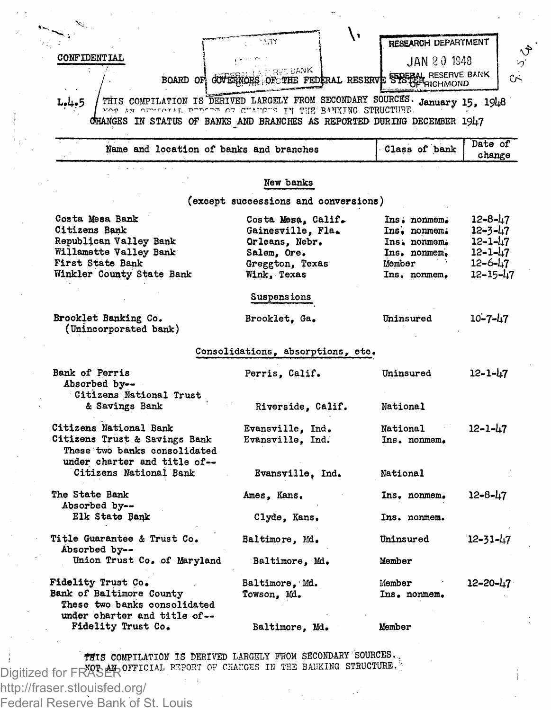| <b>CONFIDENTIAL</b>                                                                                                                                   |                                                                                   | JAN 20 1948              |                     |
|-------------------------------------------------------------------------------------------------------------------------------------------------------|-----------------------------------------------------------------------------------|--------------------------|---------------------|
|                                                                                                                                                       | <b>BVE BANK</b><br>BOARD OF GULERIORS OF THE FEDERAL RESERVE STOLEN. RESERVE BANK |                          |                     |
| <b>L.4.5</b>                                                                                                                                          | THIS COMPILATION IS DERIVED LARGELY FROM SECONDARY SOURCES. January 15, 1948      |                          |                     |
| CHANGES IN STATUS OF BANKS AND BRANCHES AS REPORTED DURING DECEMBER 1947                                                                              | .PANKING STRUCTURE האמרית הכמונתיים (PHE BANKING STRUCTURE                        |                          |                     |
| Name and location of banks and branches                                                                                                               |                                                                                   | Class of bank            | Date of<br>change   |
|                                                                                                                                                       |                                                                                   |                          |                     |
|                                                                                                                                                       | New banks<br>(except successions and conversions)                                 |                          |                     |
| Costa Mesa Bank                                                                                                                                       | Costa Mesa, Calif.                                                                | Ins. nonmem.             | 12-8-47             |
| Citizens Bank                                                                                                                                         | Gainesville, Fla.                                                                 | Ins. nonmem.             | 12-3-47             |
| Republican Valley Bank                                                                                                                                | Orleans, Nebr.                                                                    | Ins. nonmem.             | 12–1–47             |
| Willamette Valley Bank                                                                                                                                | Salem, Ore.                                                                       | Ins. nonmem.             | 12-1-47             |
| First State Bank<br>Winkler County State Bank                                                                                                         | Greggton, Texas<br>Wink, Texas                                                    | Member<br>Ins. nonmem.   | 12-6-47<br>12-15-47 |
|                                                                                                                                                       |                                                                                   |                          |                     |
|                                                                                                                                                       | Suspensions                                                                       |                          |                     |
| Brooklet Banking Co.<br>(Unincorporated bank)                                                                                                         | Brooklet, Ga.                                                                     | Uninsured                | $10 - 7 - 47$       |
|                                                                                                                                                       | Consolidations, absorptions, etc.                                                 |                          |                     |
| Bank of Perris<br>Absorbed by--<br>Citizens National Trust                                                                                            | Perris, Calif.                                                                    | Uninsured                | 12-1-47             |
| & Savings Bank                                                                                                                                        | Riverside, Calif.                                                                 | National                 |                     |
| Citizens National Bank<br>Citizens Trust & Savings Bank<br>These two banks consolidated                                                               | Evansville, Ind.<br>Evansville, Ind.                                              | National<br>Ins. nonmem. | 12-1-47             |
| under charter and title of--<br>Citizens National Bank                                                                                                | Evansville, Ind.                                                                  | National                 |                     |
| The State Bank<br>Absorbed by--                                                                                                                       | Ames, Kans.                                                                       | Ins. nonmem.             | $12 - 8 - 47$       |
| Elk State Bank                                                                                                                                        | Clyde, Kans.                                                                      | Ins. nonmem.             |                     |
|                                                                                                                                                       | Baltimore, Md.                                                                    | Uninsured                | 12-31-47            |
| Absorbed by--                                                                                                                                         |                                                                                   |                          |                     |
| Union Trust Co. of Maryland                                                                                                                           | Baltimore. Md.                                                                    | Member                   |                     |
|                                                                                                                                                       | Baltimore, Md.                                                                    | Member                   | 12-20-47            |
| Title Guarantee & Trust Co.<br><b>Fidelity Trust Co.</b><br>Bank of Baltimore County<br>These two banks consolidated<br>under charter and title of -- | Towson, Md.                                                                       | Ins. nonmem.             |                     |

THIS COMPILATION IS DERIVED LARGELY FROM SECONDARY SOURCES.<br>Digitized for FRACEP OFFICIAL REPORT OF CHANGES IN THE BANKING STRUCTURE.

http://fraser.stlouisfed.org/ Federal Reserve Bank of St. Louis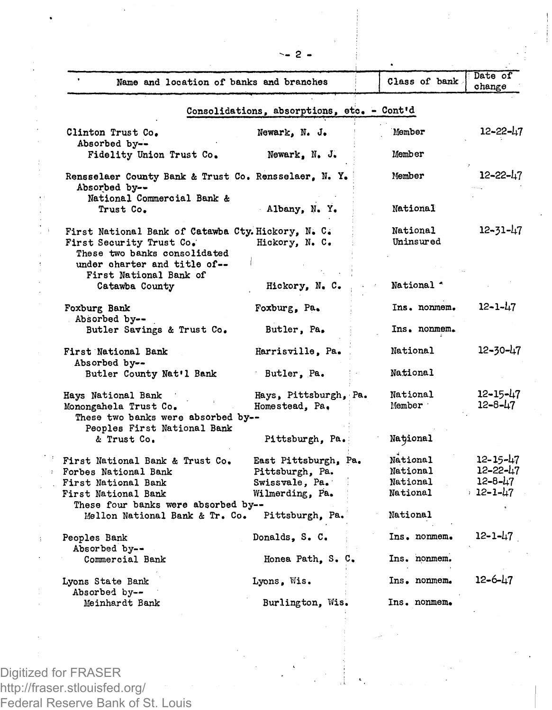| Name and location of banks and branches                                                                        |                                            | Class of bank.        | Date of<br>change         |
|----------------------------------------------------------------------------------------------------------------|--------------------------------------------|-----------------------|---------------------------|
|                                                                                                                | Consolidations, absorptions, etc. - Cont'd |                       |                           |
| Clinton Trust Co.<br>Absorbed by--                                                                             | Newark, N. J.                              | Member                | 12-22-47                  |
| Fidelity Union Trust Co.                                                                                       | Newark, N. J.                              | Member                |                           |
| Rensselaer County Bank & Trust Co. Rensselaer. N. Y.<br>Absorbed by--                                          |                                            | Member                | $12 - 22 - 17$            |
| National Commercial Bank &<br>Trust Co.                                                                        | Albany, N.Y.                               | National              |                           |
| First National Bank of Catawba Cty. Hickory, N. C.<br>First Security Trust Co.<br>These two banks consolidated | Hickory, N. C.                             | National<br>Uninsured | $12 - 31 - 47$            |
| under charter and title of--                                                                                   |                                            |                       |                           |
| First National Bank of<br>Catawba County                                                                       | Hickory, N. C.                             | National *            |                           |
| Foxburg Bank<br>Absorbed by--                                                                                  | Foxburg, Pa.                               | Ins. nonmem.          | 12-1-47                   |
| Butler Savings & Trust Co.                                                                                     | Butler, Pa.                                | Ins. nonmem.          |                           |
| First National Bank<br>Absorbed by--                                                                           | Harrisville, Pa.                           | National              | 12-30-47                  |
| Butler County Nat'l Bank                                                                                       | Butler, Pa.                                | National              |                           |
| Hays National Bank<br>Monongahela Trust Co.<br>These two banks were absorbed by--                              | Hays, Pittsburgh, Pa.<br>Homestead. Pa.    | National<br>Member    | 12-15-47<br>$12 - 8 - 47$ |
| Peoples First National Bank                                                                                    |                                            |                       |                           |
| & Trust Co.                                                                                                    | Pittsburgh, Pa.                            | National              |                           |
| First National Bank & Trust Co.                                                                                | East Pittsburgh, Pa.                       | National              | 12-15-47                  |
| Forbes National Bank                                                                                           | Pittsburgh, Pa.                            | National              | 12-22-47                  |
| First National Bank                                                                                            | Swissvale, Pa.                             | National              | 12-8-47<br>, 12-1-47      |
| First National Bank<br>These four banks were absorbed by--                                                     | Wilmerding, Pa.                            | National              |                           |
| Mellon National Bank & Tr. Co.                                                                                 | Pittsburgh, Pa.                            | National              |                           |
| Peoples Bank<br>Absorbed by--                                                                                  | Donalds, S. C.                             | Ins. nonmem.          | 12-1-47                   |
| Commercial Bank                                                                                                | Honea Path. S. C.                          | Ins. nonmem.          |                           |
| Lyons State Bank<br>Absorbed by--                                                                              | Lyons, Wis.                                | Ins. nonmem.          | $12 - 6 - 47$             |
| Meinhardt Bank                                                                                                 | Burlington, Wis.                           | Ins. nonmem.          |                           |

Digitized for FRASER http://fraser.stlouisfed.org/ Federal Reserve Bank of St. Louis **2 -**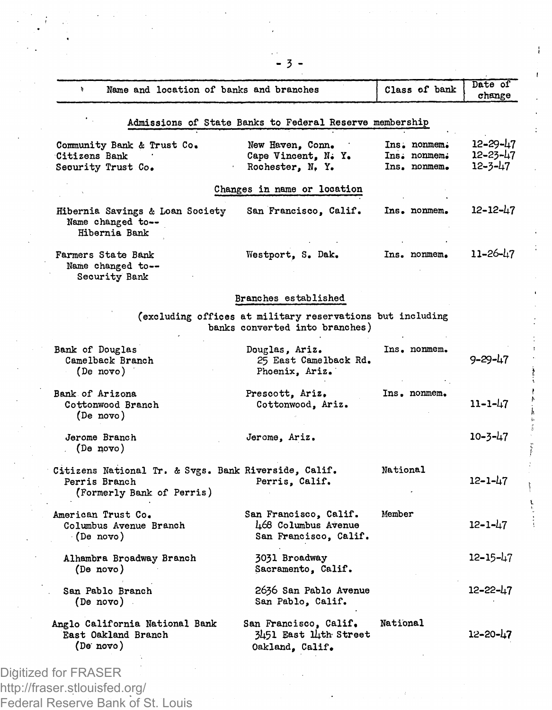| Name and location of banks and branches<br>ă.                                                      |                                                                                             | Class of bank                                | Date of<br>change                     |  |  |  |
|----------------------------------------------------------------------------------------------------|---------------------------------------------------------------------------------------------|----------------------------------------------|---------------------------------------|--|--|--|
| Admissions of State Banks to Federal Reserve membership                                            |                                                                                             |                                              |                                       |  |  |  |
| Community Bank & Trust Co.<br>Citizens Bank<br>Security Trust Co.                                  | New Haven, Conn.<br>Cape Vincent, N. Y.<br>Rochester, N.Y.                                  | Ins. nonmem.<br>Ins. nonmem.<br>Ins. nonmem. | $12 - 29 - 47$<br>12-23-47<br>12-3-47 |  |  |  |
|                                                                                                    | Changes in name or location                                                                 |                                              |                                       |  |  |  |
| Hibernia Savings & Loan Society<br>Name changed to --<br>Hibernia Bank                             | San Francisco, Calif.                                                                       | Ins. nonmem.                                 | 12-12-47                              |  |  |  |
| Farmers State Bank<br>Name changed to--<br>Security Bank                                           | Westport, S. Dak.                                                                           | Ins. nonmem.                                 | 11–26–47                              |  |  |  |
|                                                                                                    | Branches established                                                                        |                                              |                                       |  |  |  |
|                                                                                                    | (excluding offices at military reservations but including<br>banks converted into branches) |                                              |                                       |  |  |  |
| Bank of Douglas<br>Camelback Branch<br>(De novo)                                                   | Douglas, Ariz.<br>25 East Camelback Rd.<br>Phoenix, Ariz.                                   | Ins. nonmem.                                 | 9-29-47                               |  |  |  |
| Bank of Arizona<br>Cottonwood Branch<br>(De novo)                                                  | Prescott, Ariz.<br>Cottonwood, Ariz.                                                        | Ins. nonmem.                                 | $11 - 1 - 47$                         |  |  |  |
| Jerome Branch<br>(De novo)                                                                         | Jerome, Ariz.                                                                               |                                              | 10-3-47                               |  |  |  |
| Citizens National Tr. & Svgs. Bank Riverside, Calif.<br>Perris Branch<br>(Formerly Bank of Perris) | Perris, Calif.                                                                              | National                                     | 12-1-47                               |  |  |  |
| American Trust Co.<br>Columbus Avenue Branch<br>(De novo)                                          | San Francisco, Calif.<br>468 Columbus Avenue<br>San Francisco, Calif.                       | Member                                       | 12-1-47                               |  |  |  |
| Alhambra Broadway Branch<br>(De novo)                                                              | 3031 Broadway<br>Sacramento, Calif.                                                         |                                              | 12–15–47                              |  |  |  |
| San Pablo Branch<br>(De novo).                                                                     | 2636 San Pablo Avenue<br>San Pablo, Calif.                                                  |                                              | 12-22-47                              |  |  |  |
| Anglo California National Bank<br>East Oakland Branch<br>(De novo)                                 | San Francisco, Calif.<br>3451 East lith Street<br>Oakland, Calif.                           | National                                     | $12 - 20 - 47$                        |  |  |  |

**- 3 -**

ł

http://fraser.stlouisfed.org/ Federal Reserve Bank of St. Louis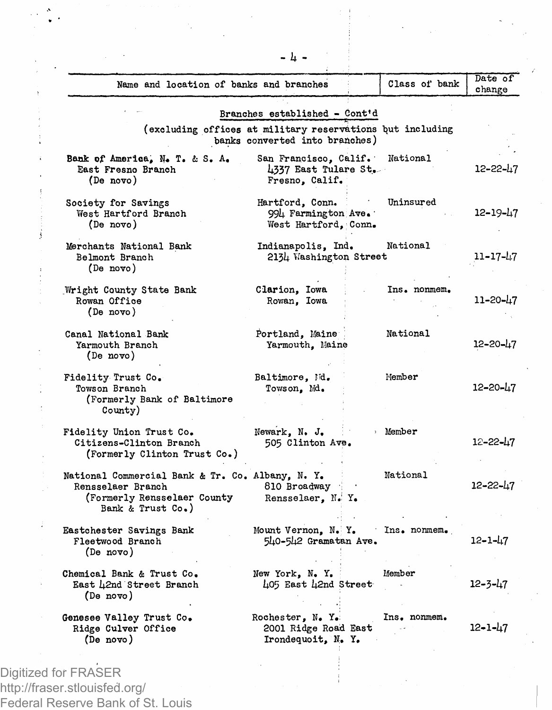| Name and location of banks and branches                                                                                   |                                                                                             | Class of bank | Date of<br>change |
|---------------------------------------------------------------------------------------------------------------------------|---------------------------------------------------------------------------------------------|---------------|-------------------|
|                                                                                                                           | Branches established - Cont'd                                                               |               |                   |
|                                                                                                                           | (excluding offices at military reservations but including<br>banks converted into branches) |               |                   |
| Bank of America, N. T. & S. A.<br>East Fresno Branch<br>(De novo)                                                         | San Francisco, Calif.<br>4337 East Tulare St.<br>Fresno, Calif.                             | National      | 12-22-47          |
| Society for Savings<br>West Hartford Branch<br>(De novo)                                                                  | Hartford, Conn.<br>994 Farmington Ave.<br>West Hartford. Conn.                              | Uninsured     | 12-19-47          |
| Merchants National Bank<br>Belmont Branch<br>(De novo)                                                                    | Indianapolis. Ind.<br>2134 Washington Street                                                | National      | 11-17-47          |
| Wright County State Bank<br>Rowan Office<br>(De novo)                                                                     | Clarion, Iowa<br>Rowan, Iowa                                                                | Ins. nonmem.  | 11-20-47          |
| Canal National Bank<br>Yarmouth Branch<br>(De novo)                                                                       | Portland, Maine<br>Yarmouth, Maine                                                          | National      | 12-20-47          |
| Fidelity Trust Co.<br>Towson Branch<br>(Formerly Bank of Baltimore<br>County)                                             | Baltimore, Nd.<br>Towson, Md.                                                               | Member        | 12-20-47          |
| Fidelity Union Trust Co.<br>Citizens-Clinton Branch<br>(Formerly Clinton Trust Co.)                                       | Newark, N. J.<br>505 Clinton Ave.                                                           | > Member      | $12 - 22 - 17$    |
| National Commercial Bank & Tr. Co. Albany, N. Y.<br>Rensselaer Branch<br>(Formerly Rensselaer County<br>Bank & Trust Co.) | 810 Broadway<br>Rensselaer, N. Y.                                                           | National      | 12-22-47          |
| Eastchester Savings Bank<br>Fleetwood Branch<br>(De novo)                                                                 | Mount Vernon. N. Y.<br>540-542 Gramatan Ave.                                                | Ins. nonmem.  | 12-1-47           |
| Chemical Bank & Trust Co.<br>East L2nd Street Branch<br>(De novo)                                                         | New York, N.Y.<br>405 East 42nd Street                                                      | Member        | 12-3-47           |
| Genesee Valley Trust Co.<br>Ridge Culver Office<br>(De novo)                                                              | Rochester, N. Y.<br>2001 Ridge Road East<br>Irondequoit. N. Y.                              | Ins. nonmem.  | 12-1-47           |
|                                                                                                                           |                                                                                             |               |                   |

**- Ij. -**

Digitized for FRASER http://fraser.stlouisfed.org/ Federal Reserve Bank of St. Louis

 $\bar{\psi}$  .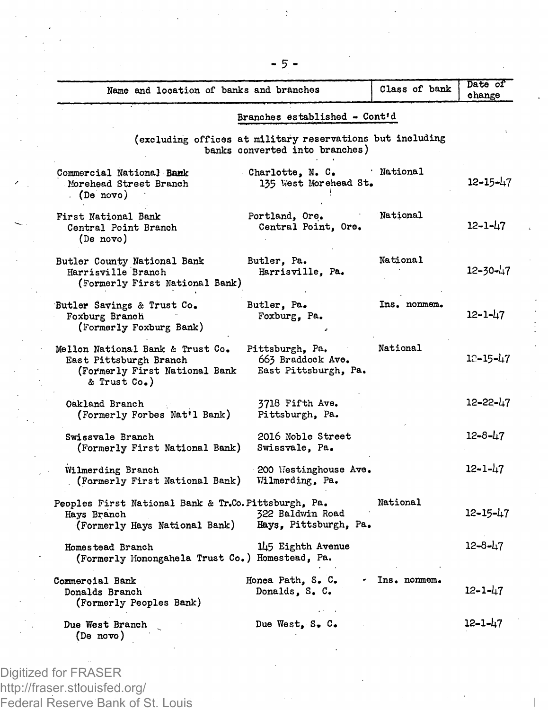| Name and location of banks and branches                                                                     |                                                                                             | Class of bank  | Date of<br>change |
|-------------------------------------------------------------------------------------------------------------|---------------------------------------------------------------------------------------------|----------------|-------------------|
|                                                                                                             | Branches established - Cont'd                                                               |                |                   |
|                                                                                                             | (excluding offices at military reservations but including<br>banks converted into branches) |                |                   |
| Commercial National Bank<br>Morehead Street Branch<br>. (De novo)                                           | Charlotte, N. C.<br>135 West Morehead St.                                                   | National       | $12 - 15 - 47$    |
| First National Bank<br>Central Point Branch<br>(De novo)                                                    | Portland, Ore.<br>Central Point, Ore.                                                       | National       | 12-1-47           |
| Butler County National Bank<br>Harrisville Branch<br>(Formerly First National Bank)                         | Butler, Pa.<br>Harrisville, Pa.                                                             | National       | $12 - 30 - 47$    |
| Butler Savings & Trust Co.<br>Foxburg Branch<br>(Formerly Foxburg Bank)                                     | Butler, Pa.<br>Foxburg, Pa.                                                                 | Ins. nonmem.   | 12-1-47           |
| Mellon National Bank & Trust Co.<br>East Pittsburgh Branch<br>(Formerly First National Bank<br>& Trust Co.) | Pittsburgh, Pa.<br>663 Braddock Ave.<br>East Pittsburgh, Pa.                                | National       | 12-15-47          |
| Oakland Branch<br>(Formerly Forbes Nat'l Bank)                                                              | 3718 Fifth Ave.<br>Pittsburgh, Pa.                                                          |                | 12-22-47          |
| Swissvale Branch<br>(Formerly First National Bank)                                                          | 2016 Noble Street<br>Swissvale, Pa.                                                         |                | 12-8-47           |
| Wilmerding Branch<br>(Formerly First National Bank)                                                         | 200 Westinghouse Ave.<br>Wilmerding, Pa.                                                    |                | $12 - 1 - 47$     |
| Peoples First National Bank & Tr.Co. Pittsburgh, Pa.<br>Hays Branch<br>(Formerly Hays National Bank)        | 322 Baldwin Road<br>Hays, Pittsburgh, Pa.                                                   | National       | 12-15-47          |
| Homestead Branch<br>(Formerly Monongahela Trust Co.) Homestead, Pa.                                         | 145 Eighth Avenue                                                                           |                | $12 - 8 - 47$     |
| Commercial Bank<br>Donalds Branch<br>(Formerly Peoples Bank)                                                | Honea Path, S. C.<br>Donalds, S. C.                                                         | · Ins. nonmem. | 12-1-47           |
| Due West Branch<br>(De novo)                                                                                | Due West, S. C.                                                                             |                | 12-1-47           |

Digitized for FRASER http://fraser.stlouisfed.org/ Federal Reserve Bank of St. Louis **- 5 -**

 $\bar{z}$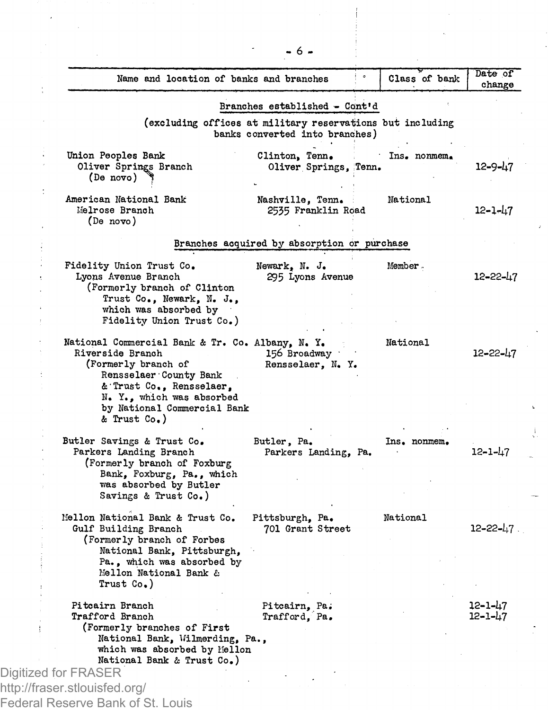| Name and location of banks and branches                                                                                                                                                                                       |                                                                                             | Class of bank | Date of<br>change  |
|-------------------------------------------------------------------------------------------------------------------------------------------------------------------------------------------------------------------------------|---------------------------------------------------------------------------------------------|---------------|--------------------|
|                                                                                                                                                                                                                               | Branches established - Cont'd                                                               |               |                    |
|                                                                                                                                                                                                                               | (excluding offices at military reservations but including<br>banks converted into branches) |               |                    |
| Union Peoples Bank<br>Oliver Springs Branch<br>(De novo)                                                                                                                                                                      | Clinton, Tenn.<br>Oliver Springs, Tenn.                                                     | Ins. nonmem.  | 12-9-47            |
| American National Bank<br>Melrose Branch<br>(De novo)                                                                                                                                                                         | Nashville, Tenn.<br>2535 Franklin Road                                                      | National      | $12 - 1 - 47$      |
|                                                                                                                                                                                                                               | Branches acquired by absorption or purchase                                                 |               |                    |
| Fidelity Union Trust Co.<br>Lyons Avenue Branch<br>(Formerly branch of Clinton<br>Trust Co., Newark, N. J.,                                                                                                                   | Newark, N. J.<br>295 Lyons Avenue                                                           | Member.       | 12-22-47           |
| which was absorbed by<br>Fidelity Union Trust Co.)                                                                                                                                                                            |                                                                                             |               |                    |
| National Commercial Bank & Tr. Co. Albany, N. Y.<br>Riverside Branch<br>(Formerly branch of<br>Rensselaer County Bank<br>& Trust Co., Rensselaer,<br>N. Y., which was absorbed<br>by National Commercial Bank<br>& Trust Co.) | 156 Broadway<br>Rensselaer, N. Y.                                                           | National      | 12-22-47           |
| Butler Savings & Trust Co.<br>Parkers Landing Branch<br>(Formerly branch of Foxburg<br>Bank, Foxburg, Pa., which<br>was absorbed by Butler<br>Savings & Trust Co.)                                                            | Butler, Pa.<br>Parkers Landing, Pa.                                                         | Ins. nonmem.  | $12 - 1 - 47$      |
| Mellon National Bank & Trust Co.<br>Gulf Building Branch<br>(Formerly branch of Forbes<br>National Bank, Pittsburgh,<br>Pa., which was absorbed by<br>Mellon National Bank &                                                  | Pittsburgh, Pa.<br>701 Grant Street                                                         | National      | $12 - 22 - 17$ .   |
| Trust Co.)                                                                                                                                                                                                                    |                                                                                             |               |                    |
| Pitcairn Branch<br>Trafford Branch<br>(Formerly branches of First<br>National Bank, Wilmerding, Pa.,<br>which was absorbed by Mellon<br>National Bank & Trust Co.)                                                            | Pitcairn, Pa.<br>Trafford, Pa.                                                              |               | 12-1-47<br>12-1-47 |
| Digitized for FRASER                                                                                                                                                                                                          |                                                                                             |               |                    |
| http://fraser.stlouisfed.org/                                                                                                                                                                                                 |                                                                                             |               |                    |

**- 6 -**

l,

J,

Í

J